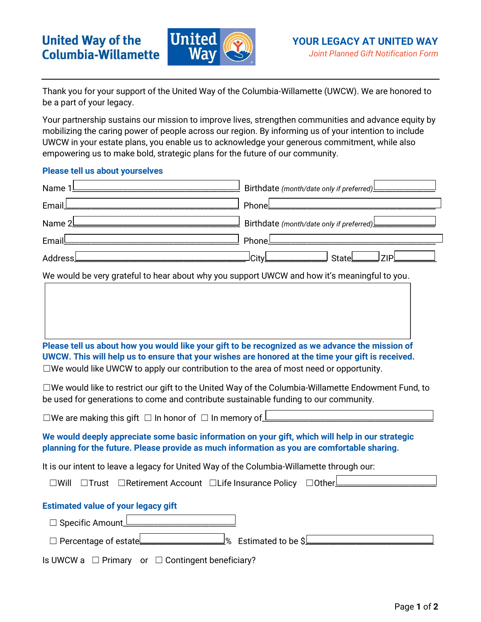

Thank you for your support of the United Way of the Columbia-Willamette (UWCW). We are honored to be a part of your legacy.

Your partnership sustains our mission to improve lives, strengthen communities and advance equity by mobilizing the caring power of people across our region. By informing us of your intention to include UWCW in your estate plans, you enable us to acknowledge your generous commitment, while also empowering us to make bold, strategic plans for the future of our community.

# **Please tell us about yourselves**

| Name 1                                                                                                                                                                                                                                                                                               | Birthdate (month/date only if preferred)                        |
|------------------------------------------------------------------------------------------------------------------------------------------------------------------------------------------------------------------------------------------------------------------------------------------------------|-----------------------------------------------------------------|
| Email                                                                                                                                                                                                                                                                                                | Phone                                                           |
| Name 2L                                                                                                                                                                                                                                                                                              | Birthdate (month/date only if preferred)                        |
| Email                                                                                                                                                                                                                                                                                                | Phonel                                                          |
| Address                                                                                                                                                                                                                                                                                              | <b>City</b><br>ZIP<br>State                                     |
| We would be very grateful to hear about why you support UWCW and how it's meaningful to you.                                                                                                                                                                                                         |                                                                 |
|                                                                                                                                                                                                                                                                                                      |                                                                 |
| Please tell us about how you would like your gift to be recognized as we advance the mission of<br>UWCW. This will help us to ensure that your wishes are honored at the time your gift is received.<br>$\Box$ We would like UWCW to apply our contribution to the area of most need or opportunity. |                                                                 |
| $\Box$ We would like to restrict our gift to the United Way of the Columbia-Willamette Endowment Fund, to<br>be used for generations to come and contribute sustainable funding to our community.                                                                                                    |                                                                 |
| $\square$ We are making this gift $\square$ In honor of $\square$ In memory of $\underline{\mathsf{I}}$                                                                                                                                                                                              |                                                                 |
| We would deeply appreciate some basic information on your gift, which will help in our strategic<br>planning for the future. Please provide as much information as you are comfortable sharing.                                                                                                      |                                                                 |
| It is our intent to leave a legacy for United Way of the Columbia-Willamette through our:                                                                                                                                                                                                            |                                                                 |
| □ Will □ Trust □ Retirement Account □ Life Insurance Policy □ Other                                                                                                                                                                                                                                  |                                                                 |
| <b>Estimated value of your legacy gift</b><br>□ Specific Amount<br>$\Box$ Percentage of estate                                                                                                                                                                                                       | $\frac{\mathsf{I}}{\mathsf{S}}$ Estimated to be \$ $\mathsf{I}$ |
| $\Box$ Primary<br>or $\Box$ Contingent beneficiary?<br>Is UWCW a                                                                                                                                                                                                                                     |                                                                 |